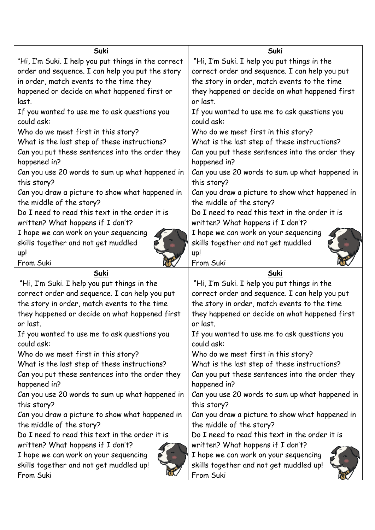| Suki                                                | Suki                                            |
|-----------------------------------------------------|-------------------------------------------------|
| "Hi, I'm Suki. I help you put things in the correct | "Hi, I'm Suki. I help you put things in the     |
| order and sequence. I can help you put the story    | correct order and sequence. I can help you put  |
| in order, match events to the time they             | the story in order, match events to the time    |
| happened or decide on what happened first or        | they happened or decide on what happened first  |
| last.                                               | or last.                                        |
| If you wanted to use me to ask questions you        | If you wanted to use me to ask questions you    |
| could ask:                                          | could ask:                                      |
| Who do we meet first in this story?                 | Who do we meet first in this story?             |
| What is the last step of these instructions?        | What is the last step of these instructions?    |
| Can you put these sentences into the order they     | Can you put these sentences into the order they |
| happened in?                                        | happened in?                                    |
| Can you use 20 words to sum up what happened in     | Can you use 20 words to sum up what happened in |
| this story?                                         | this story?                                     |
| Can you draw a picture to show what happened in     | Can you draw a picture to show what happened in |
| the middle of the story?                            | the middle of the story?                        |
| Do I need to read this text in the order it is      | Do I need to read this text in the order it is  |
| written? What happens if I don't?                   | written? What happens if I don't?               |
| I hope we can work on your sequencing               | I hope we can work on your sequencing           |
| skills together and not get muddled                 | skills together and not get muddled             |
| up!                                                 | up!                                             |
| From Suki                                           | From Suki                                       |
| Suki                                                | Suki                                            |
| "Hi, I'm Suki. I help you put things in the         | "Hi, I'm Suki. I help you put things in the     |
| correct order and sequence. I can help you put      | correct order and sequence. I can help you put  |
| the story in order, match events to the time        | the story in order, match events to the time    |
| they happened or decide on what happened first      | they happened or decide on what happened first  |
| or last.                                            | or last.                                        |
| If you wanted to use me to ask questions you        | If you wanted to use me to ask questions you    |
| could ask:                                          | could ask:                                      |
| Who do we meet first in this story?                 | Who do we meet first in this story?             |
| What is the last step of these instructions?        | What is the last step of these instructions?    |
| Can you put these sentences into the order they     | Can you put these sentences into the order they |
| happened in?                                        | happened in?                                    |
| Can you use 20 words to sum up what happened in     | Can you use 20 words to sum up what happened in |
| this story?                                         | this story?                                     |
| Can you draw a picture to show what happened in     | Can you draw a picture to show what happened in |
| the middle of the story?                            | the middle of the story?                        |
| Do I need to read this text in the order it is      | Do I need to read this text in the order it is  |
| written? What happens if I don't?                   | written? What happens if I don't?               |
| I hope we can work on your sequencing               | I hope we can work on your sequencing           |
| skills together and not get muddled up!             | skills together and not get muddled up!         |
| From Suki                                           | From Suki                                       |